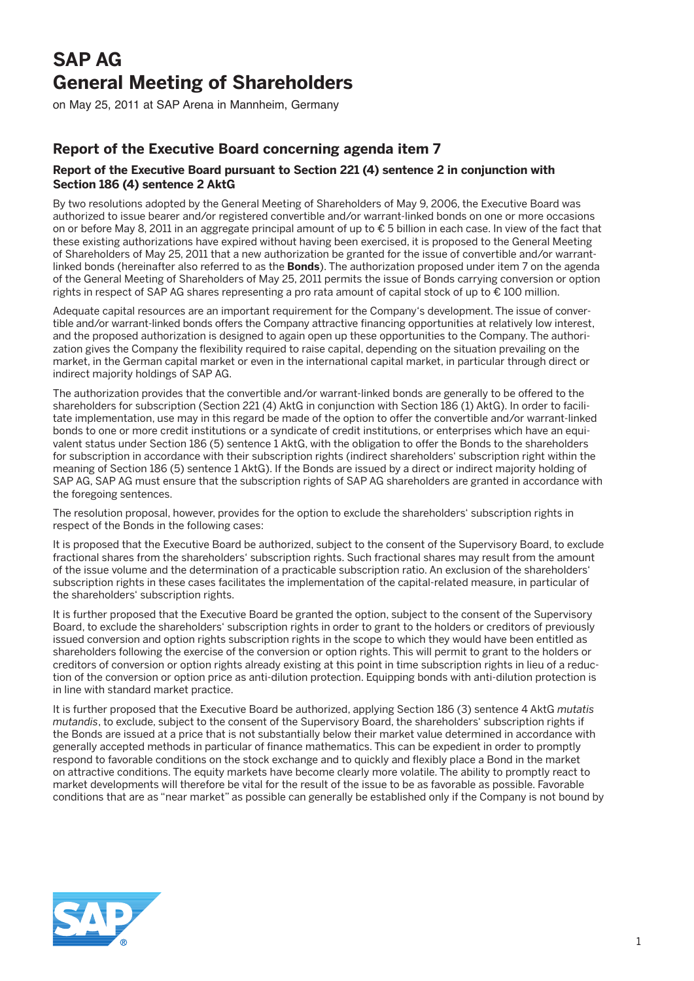## **SAP AG General Meeting of Shareholders**

on May 25, 2011 at SAP Arena in Mannheim, Germany

## **Report of the Executive Board concerning agenda item 7**

## **Report of the Executive Board pursuant to Section 221 (4) sentence 2 in conjunction with Section 186 (4) sentence 2 AktG**

By two resolutions adopted by the General Meeting of Shareholders of May 9, 2006, the Executive Board was authorized to issue bearer and/or registered convertible and/or warrant-linked bonds on one or more occasions on or before May 8, 2011 in an aggregate principal amount of up to € 5 billion in each case. In view of the fact that these existing authorizations have expired without having been exercised, it is proposed to the General Meeting of Shareholders of May 25, 2011 that a new authorization be granted for the issue of convertible and/or warrantlinked bonds (hereinafter also referred to as the **Bonds**). The authorization proposed under item 7 on the agenda of the General Meeting of Shareholders of May 25, 2011 permits the issue of Bonds carrying conversion or option rights in respect of SAP AG shares representing a pro rata amount of capital stock of up to € 100 million.

Adequate capital resources are an important requirement for the Company's development. The issue of convertible and/or warrant-linked bonds offers the Company attractive financing opportunities at relatively low interest, and the proposed authorization is designed to again open up these opportunities to the Company. The authorization gives the Company the flexibility required to raise capital, depending on the situation prevailing on the market, in the German capital market or even in the international capital market, in particular through direct or indirect majority holdings of SAP AG.

The authorization provides that the convertible and/or warrant-linked bonds are generally to be offered to the shareholders for subscription (Section 221 (4) AktG in conjunction with Section 186 (1) AktG). In order to facilitate implementation, use may in this regard be made of the option to offer the convertible and/or warrant-linked bonds to one or more credit institutions or a syndicate of credit institutions, or enterprises which have an equivalent status under Section 186 (5) sentence 1 AktG, with the obligation to offer the Bonds to the shareholders for subscription in accordance with their subscription rights (indirect shareholders' subscription right within the meaning of Section 186 (5) sentence 1 AktG). If the Bonds are issued by a direct or indirect majority holding of SAP AG, SAP AG must ensure that the subscription rights of SAP AG shareholders are granted in accordance with the foregoing sentences.

The resolution proposal, however, provides for the option to exclude the shareholders' subscription rights in respect of the Bonds in the following cases:

It is proposed that the Executive Board be authorized, subject to the consent of the Supervisory Board, to exclude fractional shares from the shareholders' subscription rights. Such fractional shares may result from the amount of the issue volume and the determination of a practicable subscription ratio. An exclusion of the shareholders' subscription rights in these cases facilitates the implementation of the capital-related measure, in particular of the shareholders' subscription rights.

It is further proposed that the Executive Board be granted the option, subject to the consent of the Supervisory Board, to exclude the shareholders' subscription rights in order to grant to the holders or creditors of previously issued conversion and option rights subscription rights in the scope to which they would have been entitled as shareholders following the exercise of the conversion or option rights. This will permit to grant to the holders or creditors of conversion or option rights already existing at this point in time subscription rights in lieu of a reduction of the conversion or option price as anti-dilution protection. Equipping bonds with anti-dilution protection is in line with standard market practice.

It is further proposed that the Executive Board be authorized, applying Section 186 (3) sentence 4 AktG *mutatis mutandis*, to exclude, subject to the consent of the Supervisory Board, the shareholders' subscription rights if the Bonds are issued at a price that is not substantially below their market value determined in accordance with generally accepted methods in particular of finance mathematics. This can be expedient in order to promptly respond to favorable conditions on the stock exchange and to quickly and flexibly place a Bond in the market on attractive conditions. The equity markets have become clearly more volatile. The ability to promptly react to market developments will therefore be vital for the result of the issue to be as favorable as possible. Favorable conditions that are as "near market" as possible can generally be established only if the Company is not bound by

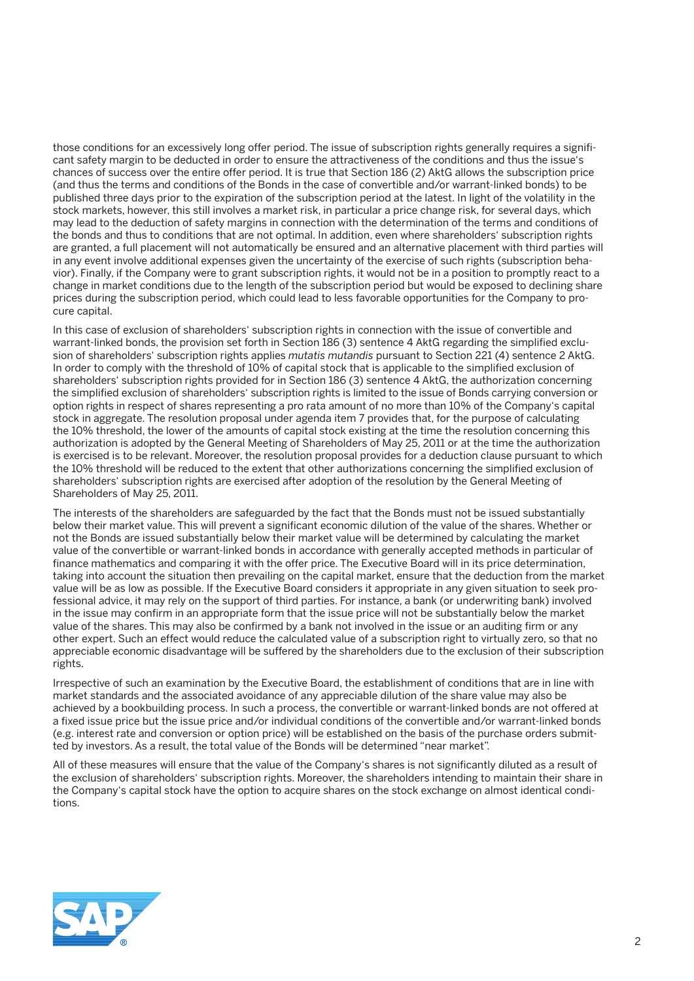those conditions for an excessively long offer period. The issue of subscription rights generally requires a significant safety margin to be deducted in order to ensure the attractiveness of the conditions and thus the issue's chances of success over the entire offer period. It is true that Section 186 (2) AktG allows the subscription price (and thus the terms and conditions of the Bonds in the case of convertible and/or warrant-linked bonds) to be published three days prior to the expiration of the subscription period at the latest. In light of the volatility in the stock markets, however, this still involves a market risk, in particular a price change risk, for several days, which may lead to the deduction of safety margins in connection with the determination of the terms and conditions of the bonds and thus to conditions that are not optimal. In addition, even where shareholders' subscription rights are granted, a full placement will not automatically be ensured and an alternative placement with third parties will in any event involve additional expenses given the uncertainty of the exercise of such rights (subscription behavior). Finally, if the Company were to grant subscription rights, it would not be in a position to promptly react to a change in market conditions due to the length of the subscription period but would be exposed to declining share prices during the subscription period, which could lead to less favorable opportunities for the Company to procure capital.

In this case of exclusion of shareholders' subscription rights in connection with the issue of convertible and warrant-linked bonds, the provision set forth in Section 186 (3) sentence 4 AktG regarding the simplified exclusion of shareholders' subscription rights applies *mutatis mutandis* pursuant to Section 221 (4) sentence 2 AktG. In order to comply with the threshold of 10% of capital stock that is applicable to the simplified exclusion of shareholders' subscription rights provided for in Section 186 (3) sentence 4 AktG, the authorization concerning the simplified exclusion of shareholders' subscription rights is limited to the issue of Bonds carrying conversion or option rights in respect of shares representing a pro rata amount of no more than 10% of the Company's capital stock in aggregate. The resolution proposal under agenda item 7 provides that, for the purpose of calculating the 10% threshold, the lower of the amounts of capital stock existing at the time the resolution concerning this authorization is adopted by the General Meeting of Shareholders of May 25, 2011 or at the time the authorization is exercised is to be relevant. Moreover, the resolution proposal provides for a deduction clause pursuant to which the 10% threshold will be reduced to the extent that other authorizations concerning the simplified exclusion of shareholders' subscription rights are exercised after adoption of the resolution by the General Meeting of Shareholders of May 25, 2011.

The interests of the shareholders are safeguarded by the fact that the Bonds must not be issued substantially below their market value. This will prevent a significant economic dilution of the value of the shares. Whether or not the Bonds are issued substantially below their market value will be determined by calculating the market value of the convertible or warrant-linked bonds in accordance with generally accepted methods in particular of finance mathematics and comparing it with the offer price. The Executive Board will in its price determination, taking into account the situation then prevailing on the capital market, ensure that the deduction from the market value will be as low as possible. If the Executive Board considers it appropriate in any given situation to seek professional advice, it may rely on the support of third parties. For instance, a bank (or underwriting bank) involved in the issue may confirm in an appropriate form that the issue price will not be substantially below the market value of the shares. This may also be confirmed by a bank not involved in the issue or an auditing firm or any other expert. Such an effect would reduce the calculated value of a subscription right to virtually zero, so that no appreciable economic disadvantage will be suffered by the shareholders due to the exclusion of their subscription rights.

Irrespective of such an examination by the Executive Board, the establishment of conditions that are in line with market standards and the associated avoidance of any appreciable dilution of the share value may also be achieved by a bookbuilding process. In such a process, the convertible or warrant-linked bonds are not offered at a fixed issue price but the issue price and/or individual conditions of the convertible and/or warrant-linked bonds (e.g. interest rate and conversion or option price) will be established on the basis of the purchase orders submitted by investors. As a result, the total value of the Bonds will be determined "near market".

All of these measures will ensure that the value of the Company's shares is not significantly diluted as a result of the exclusion of shareholders' subscription rights. Moreover, the shareholders intending to maintain their share in the Company's capital stock have the option to acquire shares on the stock exchange on almost identical conditions.